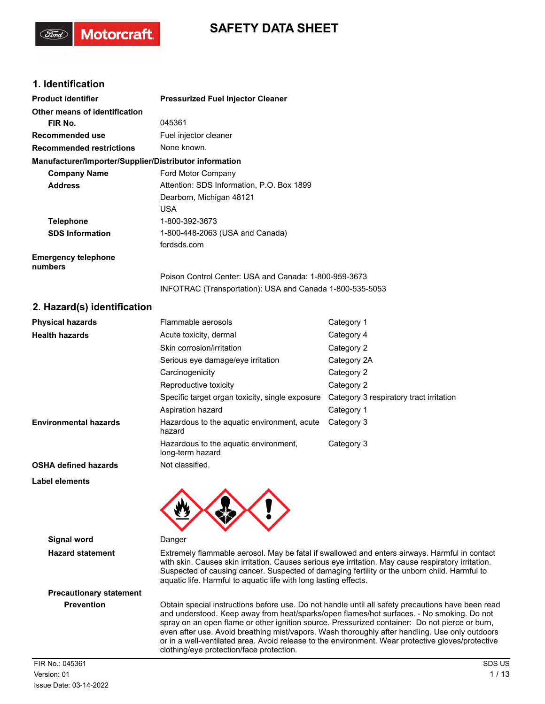## **SAFETY DATA SHEET**

### **1. Identification**

**Motorcraft** 

| <b>Product identifier</b>                              | <b>Pressurized Fuel Injector Cleaner</b>                  |                                         |
|--------------------------------------------------------|-----------------------------------------------------------|-----------------------------------------|
| Other means of identification                          |                                                           |                                         |
| FIR No.                                                | 045361                                                    |                                         |
| Recommended use                                        | Fuel injector cleaner                                     |                                         |
| <b>Recommended restrictions</b>                        | None known.                                               |                                         |
| Manufacturer/Importer/Supplier/Distributor information |                                                           |                                         |
| <b>Company Name</b>                                    | Ford Motor Company                                        |                                         |
| <b>Address</b>                                         | Attention: SDS Information, P.O. Box 1899                 |                                         |
|                                                        | Dearborn, Michigan 48121                                  |                                         |
|                                                        | <b>USA</b>                                                |                                         |
| <b>Telephone</b>                                       | 1-800-392-3673                                            |                                         |
| <b>SDS Information</b>                                 | 1-800-448-2063 (USA and Canada)                           |                                         |
|                                                        | fordsds.com                                               |                                         |
| <b>Emergency telephone</b><br>numbers                  |                                                           |                                         |
|                                                        | Poison Control Center: USA and Canada: 1-800-959-3673     |                                         |
|                                                        | INFOTRAC (Transportation): USA and Canada 1-800-535-5053  |                                         |
| 2. Hazard(s) identification                            |                                                           |                                         |
| <b>Physical hazards</b>                                | Flammable aerosols                                        | Category 1                              |
| <b>Health hazards</b>                                  | Acute toxicity, dermal                                    | Category 4                              |
|                                                        | Skin corrosion/irritation                                 | Category 2                              |
|                                                        | Serious eye damage/eye irritation                         | Category 2A                             |
|                                                        | Carcinogenicity                                           | Category 2                              |
|                                                        | Reproductive toxicity                                     | Category 2                              |
|                                                        | Specific target organ toxicity, single exposure           | Category 3 respiratory tract irritation |
|                                                        | Aspiration hazard                                         | Category 1                              |
| <b>Environmental hazards</b>                           | Hazardous to the aquatic environment, acute<br>hazard     | Category 3                              |
|                                                        | Hazardous to the aquatic environment,<br>long-term hazard | Category 3                              |
| <b>OSHA defined hazards</b>                            | Not classified.                                           |                                         |
| Label elements                                         |                                                           |                                         |



**Signal word** Danger

**Hazard statement** Extremely flammable aerosol. May be fatal if swallowed and enters airways. Harmful in contact with skin. Causes skin irritation. Causes serious eye irritation. May cause respiratory irritation. Suspected of causing cancer. Suspected of damaging fertility or the unborn child. Harmful to aquatic life. Harmful to aquatic life with long lasting effects.

# **Precautionary statement**

**Prevention** Obtain special instructions before use. Do not handle until all safety precautions have been read and understood. Keep away from heat/sparks/open flames/hot surfaces. - No smoking. Do not spray on an open flame or other ignition source. Pressurized container: Do not pierce or burn, even after use. Avoid breathing mist/vapors. Wash thoroughly after handling. Use only outdoors or in a well-ventilated area. Avoid release to the environment. Wear protective gloves/protective clothing/eye protection/face protection.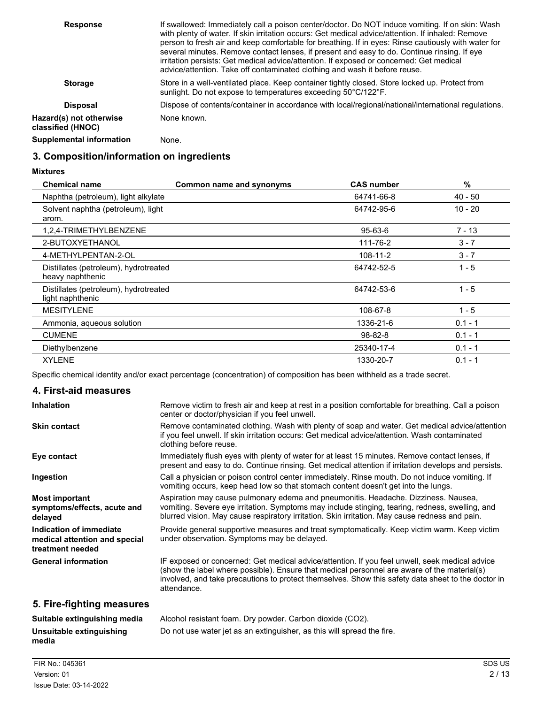| <b>Response</b>                              | If swallowed: Immediately call a poison center/doctor. Do NOT induce vomiting. If on skin: Wash<br>with plenty of water. If skin irritation occurs: Get medical advice/attention. If inhaled: Remove<br>person to fresh air and keep comfortable for breathing. If in eyes: Rinse cautiously with water for<br>several minutes. Remove contact lenses, if present and easy to do. Continue rinsing. If eye<br>irritation persists: Get medical advice/attention. If exposed or concerned: Get medical<br>advice/attention. Take off contaminated clothing and wash it before reuse. |
|----------------------------------------------|-------------------------------------------------------------------------------------------------------------------------------------------------------------------------------------------------------------------------------------------------------------------------------------------------------------------------------------------------------------------------------------------------------------------------------------------------------------------------------------------------------------------------------------------------------------------------------------|
| <b>Storage</b>                               | Store in a well-ventilated place. Keep container tightly closed. Store locked up. Protect from<br>sunlight. Do not expose to temperatures exceeding 50°C/122°F.                                                                                                                                                                                                                                                                                                                                                                                                                     |
| <b>Disposal</b>                              | Dispose of contents/container in accordance with local/regional/national/international regulations.                                                                                                                                                                                                                                                                                                                                                                                                                                                                                 |
| Hazard(s) not otherwise<br>classified (HNOC) | None known.                                                                                                                                                                                                                                                                                                                                                                                                                                                                                                                                                                         |
| <b>Supplemental information</b>              | None.                                                                                                                                                                                                                                                                                                                                                                                                                                                                                                                                                                               |

### **3. Composition/information on ingredients**

### **Mixtures**

| <b>Chemical name</b>                                      | Common name and synonyms | <b>CAS number</b> | %         |  |
|-----------------------------------------------------------|--------------------------|-------------------|-----------|--|
| Naphtha (petroleum), light alkylate                       |                          | 64741-66-8        | 40 - 50   |  |
| Solvent naphtha (petroleum), light<br>arom.               |                          | 64742-95-6        | $10 - 20$ |  |
| 1,2,4-TRIMETHYLBENZENE                                    |                          | $95 - 63 - 6$     | $7 - 13$  |  |
| 2-BUTOXYETHANOL                                           |                          | 111-76-2          | $3 - 7$   |  |
| 4-METHYLPENTAN-2-OL                                       |                          | 108-11-2          | $3 - 7$   |  |
| Distillates (petroleum), hydrotreated<br>heavy naphthenic |                          | 64742-52-5        | $1 - 5$   |  |
| Distillates (petroleum), hydrotreated<br>light naphthenic |                          | 64742-53-6        | $1 - 5$   |  |
| <b>MESITYLENE</b>                                         |                          | 108-67-8          | $1 - 5$   |  |
| Ammonia, aqueous solution                                 |                          | 1336-21-6         | $0.1 - 1$ |  |
| <b>CUMENE</b>                                             |                          | $98 - 82 - 8$     | $0.1 - 1$ |  |
| Diethylbenzene                                            |                          | 25340-17-4        | $0.1 - 1$ |  |
| <b>XYLENE</b>                                             |                          | 1330-20-7         | $0.1 - 1$ |  |

Specific chemical identity and/or exact percentage (concentration) of composition has been withheld as a trade secret.

### **4. First-aid measures**

| <b>Inhalation</b>                                                            | Remove victim to fresh air and keep at rest in a position comfortable for breathing. Call a poison<br>center or doctor/physician if you feel unwell.                                                                                                                                                               |
|------------------------------------------------------------------------------|--------------------------------------------------------------------------------------------------------------------------------------------------------------------------------------------------------------------------------------------------------------------------------------------------------------------|
| <b>Skin contact</b>                                                          | Remove contaminated clothing. Wash with plenty of soap and water. Get medical advice/attention<br>if you feel unwell. If skin irritation occurs: Get medical advice/attention. Wash contaminated<br>clothing before reuse.                                                                                         |
| Eye contact                                                                  | Immediately flush eyes with plenty of water for at least 15 minutes. Remove contact lenses, if<br>present and easy to do. Continue rinsing. Get medical attention if irritation develops and persists.                                                                                                             |
| Ingestion                                                                    | Call a physician or poison control center immediately. Rinse mouth. Do not induce vomiting. If<br>vomiting occurs, keep head low so that stomach content doesn't get into the lungs.                                                                                                                               |
| <b>Most important</b><br>symptoms/effects, acute and<br>delayed              | Aspiration may cause pulmonary edema and pneumonitis. Headache. Dizziness. Nausea,<br>vomiting. Severe eye irritation. Symptoms may include stinging, tearing, redness, swelling, and<br>blurred vision. May cause respiratory irritation. Skin irritation. May cause redness and pain.                            |
| Indication of immediate<br>medical attention and special<br>treatment needed | Provide general supportive measures and treat symptomatically. Keep victim warm. Keep victim<br>under observation. Symptoms may be delayed.                                                                                                                                                                        |
| <b>General information</b>                                                   | IF exposed or concerned: Get medical advice/attention. If you feel unwell, seek medical advice<br>(show the label where possible). Ensure that medical personnel are aware of the material(s)<br>involved, and take precautions to protect themselves. Show this safety data sheet to the doctor in<br>attendance. |
| 5. Fire-fighting measures                                                    |                                                                                                                                                                                                                                                                                                                    |
| Suitable extinguishing media                                                 | Alcohol resistant foam. Dry powder. Carbon dioxide (CO2).                                                                                                                                                                                                                                                          |
| Unsuitable extinguishing                                                     | Do not use water jet as an extinguisher, as this will spread the fire.                                                                                                                                                                                                                                             |

**media**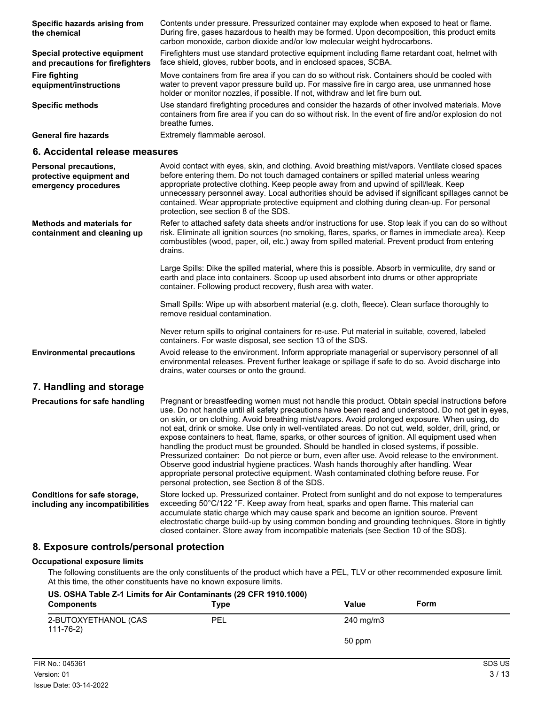| Specific hazards arising from<br>the chemical                    | Contents under pressure. Pressurized container may explode when exposed to heat or flame.<br>During fire, gases hazardous to health may be formed. Upon decomposition, this product emits<br>carbon monoxide, carbon dioxide and/or low molecular weight hydrocarbons.           |
|------------------------------------------------------------------|----------------------------------------------------------------------------------------------------------------------------------------------------------------------------------------------------------------------------------------------------------------------------------|
| Special protective equipment<br>and precautions for firefighters | Firefighters must use standard protective equipment including flame retardant coat, helmet with<br>face shield, gloves, rubber boots, and in enclosed spaces, SCBA.                                                                                                              |
| <b>Fire fighting</b><br>equipment/instructions                   | Move containers from fire area if you can do so without risk. Containers should be cooled with<br>water to prevent vapor pressure build up. For massive fire in cargo area, use unmanned hose<br>holder or monitor nozzles, if possible. If not, withdraw and let fire burn out. |
| <b>Specific methods</b>                                          | Use standard firefighting procedures and consider the hazards of other involved materials. Move<br>containers from fire area if you can do so without risk. In the event of fire and/or explosion do not<br>breathe fumes.                                                       |
| <b>General fire hazards</b>                                      | Extremely flammable aerosol.                                                                                                                                                                                                                                                     |

### **6. Accidental release measures**

| Personal precautions,<br>protective equipment and<br>emergency procedures | Avoid contact with eyes, skin, and clothing. Avoid breathing mist/vapors. Ventilate closed spaces<br>before entering them. Do not touch damaged containers or spilled material unless wearing<br>appropriate protective clothing. Keep people away from and upwind of spill/leak. Keep<br>unnecessary personnel away. Local authorities should be advised if significant spillages cannot be<br>contained. Wear appropriate protective equipment and clothing during clean-up. For personal<br>protection, see section 8 of the SDS.                                                                                                                                                                                                                                                                                                                                                                                                                       |
|---------------------------------------------------------------------------|------------------------------------------------------------------------------------------------------------------------------------------------------------------------------------------------------------------------------------------------------------------------------------------------------------------------------------------------------------------------------------------------------------------------------------------------------------------------------------------------------------------------------------------------------------------------------------------------------------------------------------------------------------------------------------------------------------------------------------------------------------------------------------------------------------------------------------------------------------------------------------------------------------------------------------------------------------|
| <b>Methods and materials for</b><br>containment and cleaning up           | Refer to attached safety data sheets and/or instructions for use. Stop leak if you can do so without<br>risk. Eliminate all ignition sources (no smoking, flares, sparks, or flames in immediate area). Keep<br>combustibles (wood, paper, oil, etc.) away from spilled material. Prevent product from entering<br>drains.                                                                                                                                                                                                                                                                                                                                                                                                                                                                                                                                                                                                                                 |
|                                                                           | Large Spills: Dike the spilled material, where this is possible. Absorb in vermiculite, dry sand or<br>earth and place into containers. Scoop up used absorbent into drums or other appropriate<br>container. Following product recovery, flush area with water.                                                                                                                                                                                                                                                                                                                                                                                                                                                                                                                                                                                                                                                                                           |
|                                                                           | Small Spills: Wipe up with absorbent material (e.g. cloth, fleece). Clean surface thoroughly to<br>remove residual contamination.                                                                                                                                                                                                                                                                                                                                                                                                                                                                                                                                                                                                                                                                                                                                                                                                                          |
|                                                                           | Never return spills to original containers for re-use. Put material in suitable, covered, labeled<br>containers. For waste disposal, see section 13 of the SDS.                                                                                                                                                                                                                                                                                                                                                                                                                                                                                                                                                                                                                                                                                                                                                                                            |
| <b>Environmental precautions</b>                                          | Avoid release to the environment. Inform appropriate managerial or supervisory personnel of all<br>environmental releases. Prevent further leakage or spillage if safe to do so. Avoid discharge into<br>drains, water courses or onto the ground.                                                                                                                                                                                                                                                                                                                                                                                                                                                                                                                                                                                                                                                                                                         |
| 7. Handling and storage                                                   |                                                                                                                                                                                                                                                                                                                                                                                                                                                                                                                                                                                                                                                                                                                                                                                                                                                                                                                                                            |
| <b>Precautions for safe handling</b>                                      | Pregnant or breastfeeding women must not handle this product. Obtain special instructions before<br>use. Do not handle until all safety precautions have been read and understood. Do not get in eyes,<br>on skin, or on clothing. Avoid breathing mist/vapors. Avoid prolonged exposure. When using, do<br>not eat, drink or smoke. Use only in well-ventilated areas. Do not cut, weld, solder, drill, grind, or<br>expose containers to heat, flame, sparks, or other sources of ignition. All equipment used when<br>handling the product must be grounded. Should be handled in closed systems, if possible.<br>Pressurized container: Do not pierce or burn, even after use. Avoid release to the environment.<br>Observe good industrial hygiene practices. Wash hands thoroughly after handling. Wear<br>appropriate personal protective equipment. Wash contaminated clothing before reuse. For<br>personal protection, see Section 8 of the SDS. |
| Conditions for safe storage,<br>including any incompatibilities           | Store locked up. Pressurized container. Protect from sunlight and do not expose to temperatures<br>exceeding 50°C/122 °F. Keep away from heat, sparks and open flame. This material can<br>accumulate static charge which may cause spark and become an ignition source. Prevent<br>electrostatic charge build-up by using common bonding and grounding techniques. Store in tightly<br>closed container. Store away from incompatible materials (see Section 10 of the SDS).                                                                                                                                                                                                                                                                                                                                                                                                                                                                              |

### **8. Exposure controls/personal protection**

### **Occupational exposure limits**

The following constituents are the only constituents of the product which have a PEL, TLV or other recommended exposure limit. At this time, the other constituents have no known exposure limits.

| US. OSHA Table Z-1 Limits for Air Contaminants (29 CFR 1910.1000)<br><b>Components</b> | Type | Value     | Form |
|----------------------------------------------------------------------------------------|------|-----------|------|
| 2-BUTOXYETHANOL (CAS<br>$111 - 76 - 2)$                                                | PEL  | 240 mg/m3 |      |
|                                                                                        |      | 50 ppm    |      |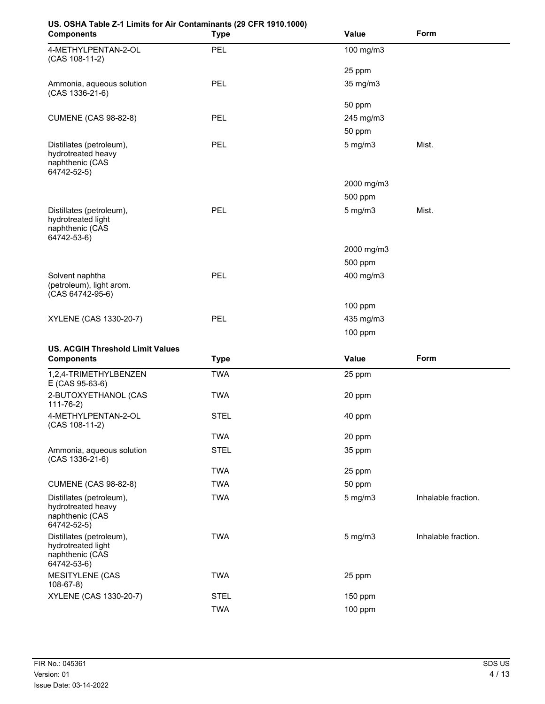| US. OSHA Table Z-1 Limits for Air Contaminants (29 CFR 1910.1000)                |             |                  |             |
|----------------------------------------------------------------------------------|-------------|------------------|-------------|
| <b>Components</b>                                                                | <b>Type</b> | Value            | <b>Form</b> |
| 4-METHYLPENTAN-2-OL<br>(CAS 108-11-2)                                            | PEL         | 100 mg/m3        |             |
|                                                                                  |             | 25 ppm           |             |
| Ammonia, aqueous solution<br>(CAS 1336-21-6)                                     | PEL         | 35 mg/m3         |             |
|                                                                                  |             | 50 ppm           |             |
| <b>CUMENE (CAS 98-82-8)</b>                                                      | PEL         | 245 mg/m3        |             |
|                                                                                  |             | 50 ppm           |             |
| Distillates (petroleum),<br>hydrotreated heavy<br>naphthenic (CAS<br>64742-52-5) | <b>PEL</b>  | $5 \text{ mg/m}$ | Mist.       |
|                                                                                  |             | 2000 mg/m3       |             |
|                                                                                  |             | 500 ppm          |             |
| Distillates (petroleum),<br>hydrotreated light<br>naphthenic (CAS<br>64742-53-6) | PEL         | $5$ mg/m $3$     | Mist.       |
|                                                                                  |             | 2000 mg/m3       |             |
|                                                                                  |             | 500 ppm          |             |
| Solvent naphtha<br>(petroleum), light arom.<br>(CAS 64742-95-6)                  | <b>PEL</b>  | 400 mg/m3        |             |
|                                                                                  |             | 100 ppm          |             |
| XYLENE (CAS 1330-20-7)                                                           | PEL         | 435 mg/m3        |             |
|                                                                                  |             | 100 ppm          |             |
| <b>US. ACGIH Threshold Limit Values</b>                                          |             |                  |             |
| <b>Components</b>                                                                | <b>Type</b> | <b>Value</b>     | Form        |
| 1,2,4-TRIMETHYLBENZEN                                                            | <b>TWA</b>  | 25 ppm           |             |

| <b>Components</b>                                                                | Type        | Value        | Form                |
|----------------------------------------------------------------------------------|-------------|--------------|---------------------|
| 1,2,4-TRIMETHYLBENZEN<br>E (CAS 95-63-6)                                         | TWA         | 25 ppm       |                     |
| 2-BUTOXYETHANOL (CAS<br>$111 - 76 - 2)$                                          | TWA         | 20 ppm       |                     |
| 4-METHYLPENTAN-2-OL<br>(CAS 108-11-2)                                            | <b>STEL</b> | 40 ppm       |                     |
|                                                                                  | TWA         | 20 ppm       |                     |
| Ammonia, aqueous solution<br>(CAS 1336-21-6)                                     | <b>STEL</b> | 35 ppm       |                     |
|                                                                                  | <b>TWA</b>  | 25 ppm       |                     |
| <b>CUMENE (CAS 98-82-8)</b>                                                      | TWA         | 50 ppm       |                     |
| Distillates (petroleum),<br>hydrotreated heavy<br>naphthenic (CAS<br>64742-52-5) | <b>TWA</b>  | $5$ mg/m $3$ | Inhalable fraction. |
| Distillates (petroleum),<br>hydrotreated light<br>naphthenic (CAS<br>64742-53-6) | <b>TWA</b>  | $5$ mg/m $3$ | Inhalable fraction. |
| <b>MESITYLENE (CAS</b><br>$108-67-8$                                             | <b>TWA</b>  | 25 ppm       |                     |
| XYLENE (CAS 1330-20-7)                                                           | <b>STEL</b> | $150$ ppm    |                     |
|                                                                                  | TWA         | 100 ppm      |                     |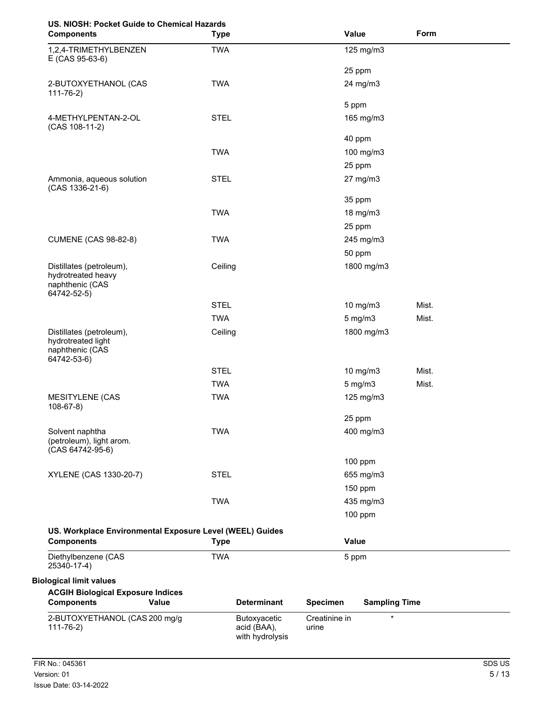# **US. NIOSH: Pocket Guide to Chemical Hazards**

| 03. NIOSH. FOCKEL GUIDE LO CHEINICAI HAZAI US<br><b>Components</b>               | <b>Type</b> |                                                |                        | Value                | Form  |
|----------------------------------------------------------------------------------|-------------|------------------------------------------------|------------------------|----------------------|-------|
| 1,2,4-TRIMETHYLBENZEN<br>E (CAS 95-63-6)                                         | <b>TWA</b>  |                                                |                        | 125 mg/m3            |       |
|                                                                                  |             |                                                |                        | 25 ppm               |       |
| 2-BUTOXYETHANOL (CAS<br>$111 - 76 - 2)$                                          | <b>TWA</b>  |                                                |                        | 24 mg/m3             |       |
|                                                                                  |             |                                                |                        | 5 ppm                |       |
| 4-METHYLPENTAN-2-OL<br>(CAS 108-11-2)                                            | <b>STEL</b> |                                                |                        | 165 mg/m3            |       |
|                                                                                  |             |                                                |                        | 40 ppm               |       |
|                                                                                  | <b>TWA</b>  |                                                |                        | 100 mg/m3            |       |
|                                                                                  |             |                                                |                        | 25 ppm               |       |
| Ammonia, aqueous solution<br>(CAS 1336-21-6)                                     | <b>STEL</b> |                                                |                        | 27 mg/m3             |       |
|                                                                                  |             |                                                |                        | 35 ppm               |       |
|                                                                                  | <b>TWA</b>  |                                                |                        | 18 mg/m3             |       |
|                                                                                  |             |                                                |                        | 25 ppm               |       |
| <b>CUMENE (CAS 98-82-8)</b>                                                      | <b>TWA</b>  |                                                |                        | 245 mg/m3            |       |
|                                                                                  |             |                                                |                        | 50 ppm               |       |
| Distillates (petroleum),<br>hydrotreated heavy<br>naphthenic (CAS<br>64742-52-5) | Ceiling     |                                                |                        | 1800 mg/m3           |       |
|                                                                                  | <b>STEL</b> |                                                |                        | 10 mg/m3             | Mist. |
|                                                                                  | <b>TWA</b>  |                                                |                        | $5$ mg/m $3$         | Mist. |
| Distillates (petroleum),<br>hydrotreated light<br>naphthenic (CAS<br>64742-53-6) | Ceiling     |                                                |                        | 1800 mg/m3           |       |
|                                                                                  | <b>STEL</b> |                                                |                        | 10 mg/m3             | Mist. |
|                                                                                  | <b>TWA</b>  |                                                |                        | $5$ mg/m $3$         | Mist. |
| <b>MESITYLENE (CAS</b><br>$108-67-8$                                             | <b>TWA</b>  |                                                |                        | 125 mg/m3            |       |
|                                                                                  |             |                                                |                        | 25 ppm               |       |
| Solvent naphtha<br>(petroleum), light arom.<br>$(CAS 64742-95-6)$                | <b>TWA</b>  |                                                |                        | 400 mg/m3            |       |
|                                                                                  |             |                                                |                        | 100 ppm              |       |
| XYLENE (CAS 1330-20-7)                                                           | <b>STEL</b> |                                                |                        | 655 mg/m3            |       |
|                                                                                  |             |                                                |                        | 150 ppm              |       |
|                                                                                  | <b>TWA</b>  |                                                |                        | 435 mg/m3            |       |
|                                                                                  |             |                                                |                        | 100 ppm              |       |
| US. Workplace Environmental Exposure Level (WEEL) Guides<br><b>Components</b>    | <b>Type</b> |                                                |                        | Value                |       |
| Diethylbenzene (CAS<br>25340-17-4)                                               | <b>TWA</b>  |                                                |                        | 5 ppm                |       |
| <b>Biological limit values</b>                                                   |             |                                                |                        |                      |       |
| <b>ACGIH Biological Exposure Indices</b><br><b>Components</b><br>Value           |             | <b>Determinant</b>                             | <b>Specimen</b>        | <b>Sampling Time</b> |       |
| 2-BUTOXYETHANOL (CAS 200 mg/g<br>$111 - 76 - 2$                                  |             | Butoxyacetic<br>acid (BAA),<br>with hydrolysis | Creatinine in<br>urine | $\star$              |       |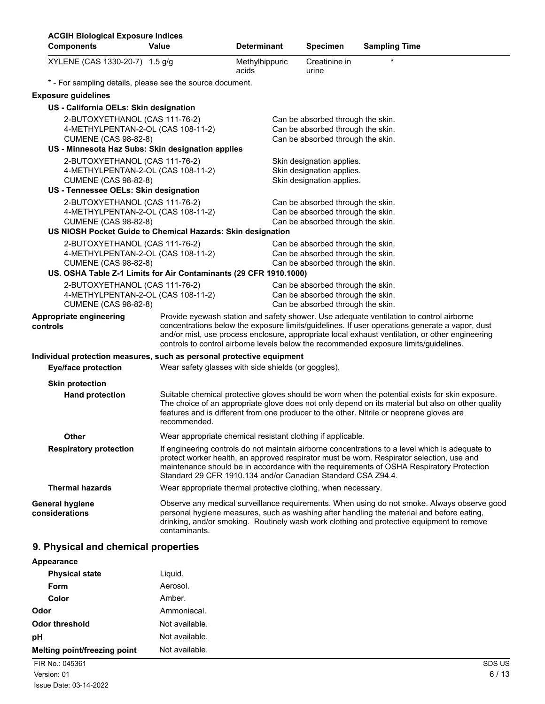| <b>ACGIH Biological Exposure Indices</b><br><b>Components</b>                                                                                                            | Value                                                         | <b>Determinant</b>      | <b>Specimen</b>                                                                                             | <b>Sampling Time</b>                                                                                                                                                                                                                                                                                                                                                                  |
|--------------------------------------------------------------------------------------------------------------------------------------------------------------------------|---------------------------------------------------------------|-------------------------|-------------------------------------------------------------------------------------------------------------|---------------------------------------------------------------------------------------------------------------------------------------------------------------------------------------------------------------------------------------------------------------------------------------------------------------------------------------------------------------------------------------|
| XYLENE (CAS 1330-20-7) 1.5 g/g                                                                                                                                           |                                                               | Methylhippuric<br>acids | Creatinine in<br>urine                                                                                      |                                                                                                                                                                                                                                                                                                                                                                                       |
| * - For sampling details, please see the source document.                                                                                                                |                                                               |                         |                                                                                                             |                                                                                                                                                                                                                                                                                                                                                                                       |
| <b>Exposure guidelines</b>                                                                                                                                               |                                                               |                         |                                                                                                             |                                                                                                                                                                                                                                                                                                                                                                                       |
| US - California OELs: Skin designation                                                                                                                                   |                                                               |                         |                                                                                                             |                                                                                                                                                                                                                                                                                                                                                                                       |
| 2-BUTOXYETHANOL (CAS 111-76-2)<br>4-METHYLPENTAN-2-OL (CAS 108-11-2)<br><b>CUMENE (CAS 98-82-8)</b>                                                                      |                                                               |                         | Can be absorbed through the skin.<br>Can be absorbed through the skin.<br>Can be absorbed through the skin. |                                                                                                                                                                                                                                                                                                                                                                                       |
| US - Minnesota Haz Subs: Skin designation applies                                                                                                                        |                                                               |                         |                                                                                                             |                                                                                                                                                                                                                                                                                                                                                                                       |
| 2-BUTOXYETHANOL (CAS 111-76-2)<br>4-METHYLPENTAN-2-OL (CAS 108-11-2)<br><b>CUMENE (CAS 98-82-8)</b>                                                                      |                                                               |                         | Skin designation applies.<br>Skin designation applies.<br>Skin designation applies.                         |                                                                                                                                                                                                                                                                                                                                                                                       |
| US - Tennessee OELs: Skin designation                                                                                                                                    |                                                               |                         |                                                                                                             |                                                                                                                                                                                                                                                                                                                                                                                       |
| 2-BUTOXYETHANOL (CAS 111-76-2)<br>4-METHYLPENTAN-2-OL (CAS 108-11-2)<br><b>CUMENE (CAS 98-82-8)</b>                                                                      |                                                               |                         | Can be absorbed through the skin.<br>Can be absorbed through the skin.<br>Can be absorbed through the skin. |                                                                                                                                                                                                                                                                                                                                                                                       |
| US NIOSH Pocket Guide to Chemical Hazards: Skin designation                                                                                                              |                                                               |                         |                                                                                                             |                                                                                                                                                                                                                                                                                                                                                                                       |
| 2-BUTOXYETHANOL (CAS 111-76-2)<br>4-METHYLPENTAN-2-OL (CAS 108-11-2)<br><b>CUMENE (CAS 98-82-8)</b><br>US. OSHA Table Z-1 Limits for Air Contaminants (29 CFR 1910.1000) |                                                               |                         | Can be absorbed through the skin.<br>Can be absorbed through the skin.<br>Can be absorbed through the skin. |                                                                                                                                                                                                                                                                                                                                                                                       |
| 2-BUTOXYETHANOL (CAS 111-76-2)<br>4-METHYLPENTAN-2-OL (CAS 108-11-2)<br><b>CUMENE (CAS 98-82-8)</b>                                                                      |                                                               |                         | Can be absorbed through the skin.<br>Can be absorbed through the skin.<br>Can be absorbed through the skin. |                                                                                                                                                                                                                                                                                                                                                                                       |
| Appropriate engineering<br>controls                                                                                                                                      |                                                               |                         |                                                                                                             | Provide eyewash station and safety shower. Use adequate ventilation to control airborne<br>concentrations below the exposure limits/guidelines. If user operations generate a vapor, dust<br>and/or mist, use process enclosure, appropriate local exhaust ventilation, or other engineering<br>controls to control airborne levels below the recommended exposure limits/guidelines. |
| Individual protection measures, such as personal protective equipment                                                                                                    |                                                               |                         |                                                                                                             |                                                                                                                                                                                                                                                                                                                                                                                       |
| <b>Eye/face protection</b>                                                                                                                                               | Wear safety glasses with side shields (or goggles).           |                         |                                                                                                             |                                                                                                                                                                                                                                                                                                                                                                                       |
| <b>Skin protection</b>                                                                                                                                                   |                                                               |                         |                                                                                                             |                                                                                                                                                                                                                                                                                                                                                                                       |
| <b>Hand protection</b>                                                                                                                                                   | recommended.                                                  |                         |                                                                                                             | Suitable chemical protective gloves should be worn when the potential exists for skin exposure.<br>The choice of an appropriate glove does not only depend on its material but also on other quality<br>features and is different from one producer to the other. Nitrile or neoprene gloves are                                                                                      |
| <b>Other</b>                                                                                                                                                             | Wear appropriate chemical resistant clothing if applicable.   |                         |                                                                                                             |                                                                                                                                                                                                                                                                                                                                                                                       |
| <b>Respiratory protection</b>                                                                                                                                            | Standard 29 CFR 1910.134 and/or Canadian Standard CSA Z94.4.  |                         |                                                                                                             | If engineering controls do not maintain airborne concentrations to a level which is adequate to<br>protect worker health, an approved respirator must be worn. Respirator selection, use and<br>maintenance should be in accordance with the requirements of OSHA Respiratory Protection                                                                                              |
| <b>Thermal hazards</b>                                                                                                                                                   | Wear appropriate thermal protective clothing, when necessary. |                         |                                                                                                             |                                                                                                                                                                                                                                                                                                                                                                                       |
| <b>General hygiene</b><br>considerations                                                                                                                                 | contaminants.                                                 |                         |                                                                                                             | Observe any medical surveillance requirements. When using do not smoke. Always observe good<br>personal hygiene measures, such as washing after handling the material and before eating,<br>drinking, and/or smoking. Routinely wash work clothing and protective equipment to remove                                                                                                 |

## **9. Physical and chemical properties**

| Appearance                   |                |
|------------------------------|----------------|
| <b>Physical state</b>        | Liquid.        |
| <b>Form</b>                  | Aerosol.       |
| Color                        | Amber.         |
| <b>Odor</b>                  | Ammoniacal.    |
| Odor threshold               | Not available. |
| pH                           | Not available. |
| Melting point/freezing point | Not available. |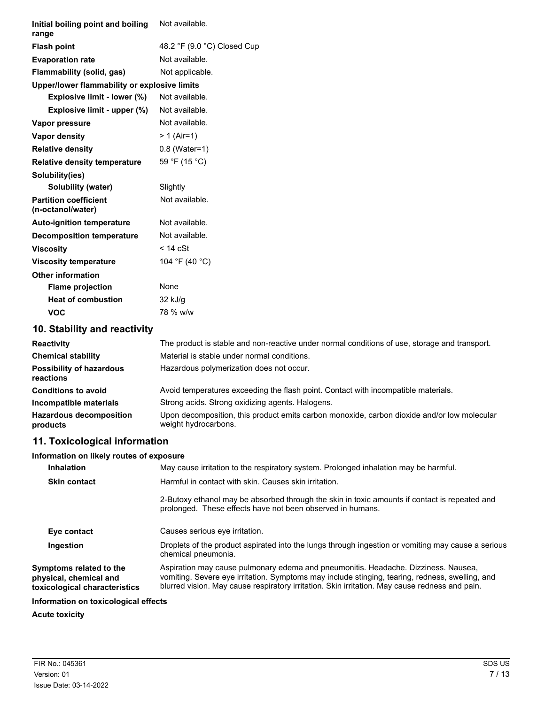| Initial boiling point and boiling<br>range        | Not available.              |
|---------------------------------------------------|-----------------------------|
| <b>Flash point</b>                                | 48.2 °F (9.0 °C) Closed Cup |
| <b>Evaporation rate</b>                           | Not available.              |
| Flammability (solid, gas)                         | Not applicable.             |
| Upper/lower flammability or explosive limits      |                             |
| Explosive limit - lower (%)                       | Not available.              |
| Explosive limit - upper (%)                       | Not available.              |
| Vapor pressure                                    | Not available.              |
| <b>Vapor density</b>                              | $> 1$ (Air=1)               |
| <b>Relative density</b>                           | $0.8$ (Water=1)             |
| <b>Relative density temperature</b>               | 59 °F (15 °C)               |
| Solubility(ies)                                   |                             |
| Solubility (water)                                | Slightly                    |
| <b>Partition coefficient</b><br>(n-octanol/water) | Not available.              |
| <b>Auto-ignition temperature</b>                  | Not available.              |
| <b>Decomposition temperature</b>                  | Not available.              |
| <b>Viscosity</b>                                  | $<$ 14 cSt                  |
| <b>Viscosity temperature</b>                      | 104 °F (40 °C)              |
| <b>Other information</b>                          |                             |
| <b>Flame projection</b>                           | None                        |
| <b>Heat of combustion</b>                         | $32$ kJ/g                   |
| <b>VOC</b>                                        | 78 % w/w                    |

### **10. Stability and reactivity**

| <b>Reactivity</b>                            | The product is stable and non-reactive under normal conditions of use, storage and transport.                       |
|----------------------------------------------|---------------------------------------------------------------------------------------------------------------------|
| <b>Chemical stability</b>                    | Material is stable under normal conditions.                                                                         |
| <b>Possibility of hazardous</b><br>reactions | Hazardous polymerization does not occur.                                                                            |
| <b>Conditions to avoid</b>                   | Avoid temperatures exceeding the flash point. Contact with incompatible materials.                                  |
| Incompatible materials                       | Strong acids. Strong oxidizing agents. Halogens.                                                                    |
| <b>Hazardous decomposition</b><br>products   | Upon decomposition, this product emits carbon monoxide, carbon dioxide and/or low molecular<br>weight hydrocarbons. |

## **11. Toxicological information**

### **Information on likely routes of exposure**

| <b>Inhalation</b>                                                                  | May cause irritation to the respiratory system. Prolonged inhalation may be harmful.                                                                                                                                                                                                    |  |  |
|------------------------------------------------------------------------------------|-----------------------------------------------------------------------------------------------------------------------------------------------------------------------------------------------------------------------------------------------------------------------------------------|--|--|
| <b>Skin contact</b>                                                                | Harmful in contact with skin. Causes skin irritation.                                                                                                                                                                                                                                   |  |  |
|                                                                                    | 2-Butoxy ethanol may be absorbed through the skin in toxic amounts if contact is repeated and<br>prolonged. These effects have not been observed in humans.                                                                                                                             |  |  |
| Eye contact                                                                        | Causes serious eye irritation.                                                                                                                                                                                                                                                          |  |  |
| Ingestion                                                                          | Droplets of the product aspirated into the lungs through ingestion or vomiting may cause a serious<br>chemical pneumonia.                                                                                                                                                               |  |  |
| Symptoms related to the<br>physical, chemical and<br>toxicological characteristics | Aspiration may cause pulmonary edema and pneumonitis. Headache. Dizziness. Nausea,<br>vomiting. Severe eye irritation. Symptoms may include stinging, tearing, redness, swelling, and<br>blurred vision. May cause respiratory irritation. Skin irritation. May cause redness and pain. |  |  |
| Information on toxicological effects                                               |                                                                                                                                                                                                                                                                                         |  |  |

### **Acute toxicity**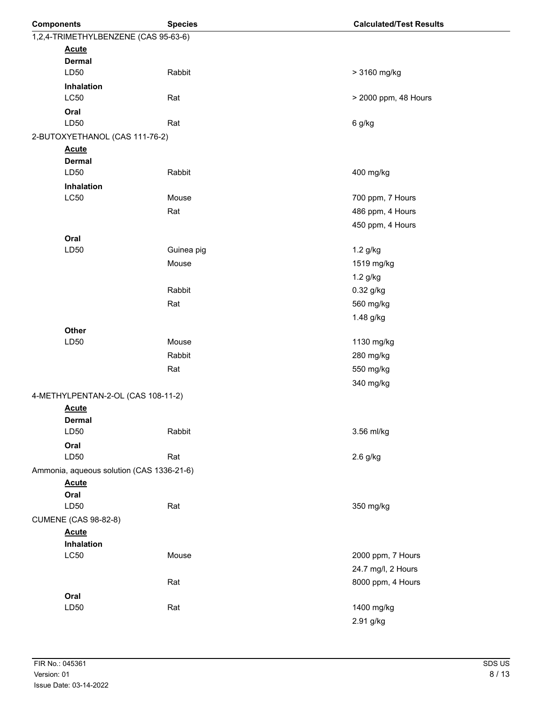| <b>Components</b>                         | <b>Species</b> | <b>Calculated/Test Results</b> |
|-------------------------------------------|----------------|--------------------------------|
| 1,2,4-TRIMETHYLBENZENE (CAS 95-63-6)      |                |                                |
| <b>Acute</b>                              |                |                                |
| <b>Dermal</b>                             |                |                                |
| LD50                                      | Rabbit         | > 3160 mg/kg                   |
| Inhalation                                |                |                                |
| <b>LC50</b>                               | Rat            | > 2000 ppm, 48 Hours           |
| Oral                                      |                |                                |
| LD50                                      | Rat            | 6 g/kg                         |
| 2-BUTOXYETHANOL (CAS 111-76-2)            |                |                                |
| <b>Acute</b><br><b>Dermal</b>             |                |                                |
| LD50                                      | Rabbit         | 400 mg/kg                      |
| Inhalation                                |                |                                |
| <b>LC50</b>                               | Mouse          | 700 ppm, 7 Hours               |
|                                           | Rat            | 486 ppm, 4 Hours               |
|                                           |                | 450 ppm, 4 Hours               |
| Oral                                      |                |                                |
| LD50                                      | Guinea pig     | 1.2 g/kg                       |
|                                           | Mouse          | 1519 mg/kg                     |
|                                           |                | 1.2 g/kg                       |
|                                           | Rabbit         | 0.32 g/kg                      |
|                                           | Rat            | 560 mg/kg                      |
|                                           |                | 1.48 g/kg                      |
| Other                                     |                |                                |
| LD50                                      | Mouse          | 1130 mg/kg                     |
|                                           | Rabbit         | 280 mg/kg                      |
|                                           | Rat            | 550 mg/kg                      |
|                                           |                | 340 mg/kg                      |
| 4-METHYLPENTAN-2-OL (CAS 108-11-2)        |                |                                |
| <b>Acute</b>                              |                |                                |
| <b>Dermal</b>                             |                |                                |
| LD50                                      | Rabbit         | 3.56 ml/kg                     |
| Oral                                      |                |                                |
| LD50                                      | Rat            | $2.6$ g/kg                     |
| Ammonia, aqueous solution (CAS 1336-21-6) |                |                                |
| <b>Acute</b>                              |                |                                |
| Oral                                      |                |                                |
| LD50                                      | Rat            | 350 mg/kg                      |
| <b>CUMENE (CAS 98-82-8)</b>               |                |                                |
| <b>Acute</b><br>Inhalation                |                |                                |
| <b>LC50</b>                               | Mouse          | 2000 ppm, 7 Hours              |
|                                           |                | 24.7 mg/l, 2 Hours             |
|                                           | Rat            | 8000 ppm, 4 Hours              |
| Oral                                      |                |                                |
| LD50                                      | Rat            | 1400 mg/kg                     |
|                                           |                | 2.91 g/kg                      |
|                                           |                |                                |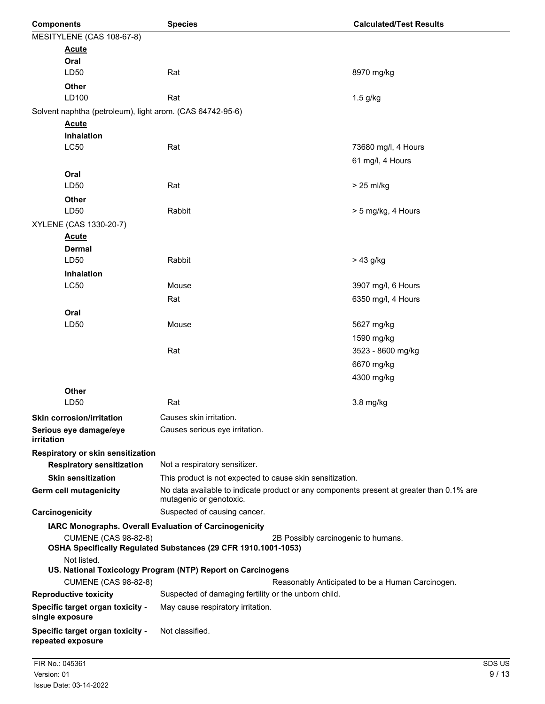| <b>Components</b>                                                                                                                    | <b>Species</b>                                                                                                      | <b>Calculated/Test Results</b>                   |  |
|--------------------------------------------------------------------------------------------------------------------------------------|---------------------------------------------------------------------------------------------------------------------|--------------------------------------------------|--|
| MESITYLENE (CAS 108-67-8)                                                                                                            |                                                                                                                     |                                                  |  |
| <b>Acute</b>                                                                                                                         |                                                                                                                     |                                                  |  |
| Oral                                                                                                                                 |                                                                                                                     |                                                  |  |
| LD50                                                                                                                                 | Rat                                                                                                                 | 8970 mg/kg                                       |  |
| <b>Other</b>                                                                                                                         |                                                                                                                     |                                                  |  |
| LD100                                                                                                                                | Rat                                                                                                                 | $1.5$ g/kg                                       |  |
| Solvent naphtha (petroleum), light arom. (CAS 64742-95-6)                                                                            |                                                                                                                     |                                                  |  |
| <b>Acute</b>                                                                                                                         |                                                                                                                     |                                                  |  |
| Inhalation                                                                                                                           |                                                                                                                     |                                                  |  |
| <b>LC50</b>                                                                                                                          | Rat                                                                                                                 | 73680 mg/l, 4 Hours                              |  |
|                                                                                                                                      |                                                                                                                     | 61 mg/l, 4 Hours                                 |  |
| Oral                                                                                                                                 |                                                                                                                     |                                                  |  |
| LD50                                                                                                                                 | Rat                                                                                                                 | > 25 ml/kg                                       |  |
| <b>Other</b>                                                                                                                         |                                                                                                                     |                                                  |  |
| LD50                                                                                                                                 | Rabbit                                                                                                              | > 5 mg/kg, 4 Hours                               |  |
| XYLENE (CAS 1330-20-7)                                                                                                               |                                                                                                                     |                                                  |  |
| <b>Acute</b>                                                                                                                         |                                                                                                                     |                                                  |  |
| <b>Dermal</b>                                                                                                                        |                                                                                                                     |                                                  |  |
| LD50                                                                                                                                 | Rabbit                                                                                                              | $> 43$ g/kg                                      |  |
| <b>Inhalation</b>                                                                                                                    |                                                                                                                     |                                                  |  |
| <b>LC50</b>                                                                                                                          | Mouse                                                                                                               | 3907 mg/l, 6 Hours                               |  |
|                                                                                                                                      | Rat                                                                                                                 | 6350 mg/l, 4 Hours                               |  |
| Oral                                                                                                                                 |                                                                                                                     |                                                  |  |
| LD50                                                                                                                                 | Mouse                                                                                                               | 5627 mg/kg                                       |  |
|                                                                                                                                      |                                                                                                                     | 1590 mg/kg                                       |  |
|                                                                                                                                      | Rat                                                                                                                 | 3523 - 8600 mg/kg                                |  |
|                                                                                                                                      |                                                                                                                     | 6670 mg/kg                                       |  |
|                                                                                                                                      |                                                                                                                     | 4300 mg/kg                                       |  |
| <b>Other</b>                                                                                                                         |                                                                                                                     |                                                  |  |
| LD50                                                                                                                                 | Rat                                                                                                                 | 3.8 mg/kg                                        |  |
| <b>Skin corrosion/irritation</b>                                                                                                     | Causes skin irritation.                                                                                             |                                                  |  |
| Serious eye damage/eye                                                                                                               | Causes serious eye irritation.                                                                                      |                                                  |  |
| irritation                                                                                                                           |                                                                                                                     |                                                  |  |
| Respiratory or skin sensitization                                                                                                    |                                                                                                                     |                                                  |  |
| <b>Respiratory sensitization</b>                                                                                                     | Not a respiratory sensitizer.                                                                                       |                                                  |  |
| <b>Skin sensitization</b>                                                                                                            | This product is not expected to cause skin sensitization.                                                           |                                                  |  |
| Germ cell mutagenicity                                                                                                               | No data available to indicate product or any components present at greater than 0.1% are<br>mutagenic or genotoxic. |                                                  |  |
| Carcinogenicity                                                                                                                      | Suspected of causing cancer.                                                                                        |                                                  |  |
|                                                                                                                                      | IARC Monographs. Overall Evaluation of Carcinogenicity                                                              |                                                  |  |
| <b>CUMENE (CAS 98-82-8)</b><br>2B Possibly carcinogenic to humans.<br>OSHA Specifically Regulated Substances (29 CFR 1910.1001-1053) |                                                                                                                     |                                                  |  |
| Not listed.                                                                                                                          | US. National Toxicology Program (NTP) Report on Carcinogens                                                         |                                                  |  |
| <b>CUMENE (CAS 98-82-8)</b>                                                                                                          |                                                                                                                     | Reasonably Anticipated to be a Human Carcinogen. |  |
| <b>Reproductive toxicity</b>                                                                                                         | Suspected of damaging fertility or the unborn child.                                                                |                                                  |  |
| Specific target organ toxicity -                                                                                                     | May cause respiratory irritation.                                                                                   |                                                  |  |
| single exposure                                                                                                                      |                                                                                                                     |                                                  |  |
| Specific target organ toxicity -<br>repeated exposure                                                                                | Not classified.                                                                                                     |                                                  |  |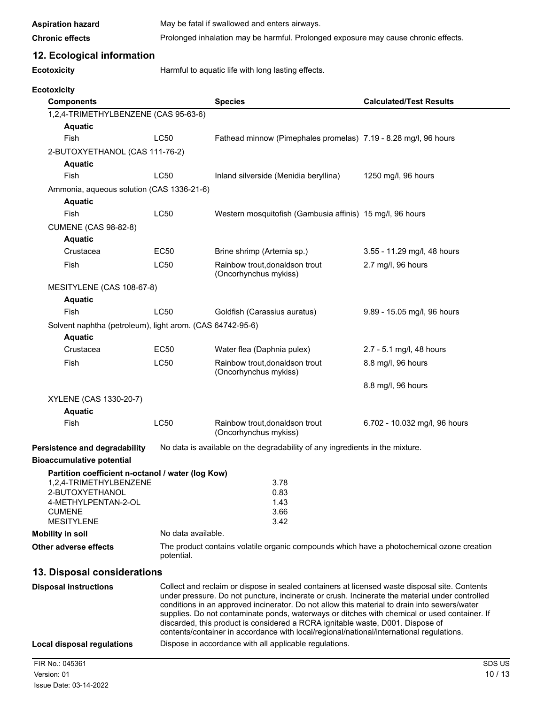| <b>Aspiration hazard</b> |  |
|--------------------------|--|
|                          |  |

May be fatal if swallowed and enters airways.

**Ecotoxicity**

Chronic effects **Prolonged inhalation may be harmful. Prolonged exposure may cause chronic effects.** 

### **12. Ecological information**

**Ecotoxicity Harmful to aquatic life with long lasting effects.** 

| <b>Components</b>                                         |                                                                                                                                                                                                                                                                                                                                                                                                                                                                                                                                                                               | <b>Species</b>                                                                            | <b>Calculated/Test Results</b> |
|-----------------------------------------------------------|-------------------------------------------------------------------------------------------------------------------------------------------------------------------------------------------------------------------------------------------------------------------------------------------------------------------------------------------------------------------------------------------------------------------------------------------------------------------------------------------------------------------------------------------------------------------------------|-------------------------------------------------------------------------------------------|--------------------------------|
| 1,2,4-TRIMETHYLBENZENE (CAS 95-63-6)                      |                                                                                                                                                                                                                                                                                                                                                                                                                                                                                                                                                                               |                                                                                           |                                |
| <b>Aquatic</b>                                            |                                                                                                                                                                                                                                                                                                                                                                                                                                                                                                                                                                               |                                                                                           |                                |
| Fish                                                      | <b>LC50</b>                                                                                                                                                                                                                                                                                                                                                                                                                                                                                                                                                                   | Fathead minnow (Pimephales promelas) 7.19 - 8.28 mg/l, 96 hours                           |                                |
| 2-BUTOXYETHANOL (CAS 111-76-2)                            |                                                                                                                                                                                                                                                                                                                                                                                                                                                                                                                                                                               |                                                                                           |                                |
| <b>Aquatic</b>                                            |                                                                                                                                                                                                                                                                                                                                                                                                                                                                                                                                                                               |                                                                                           |                                |
| Fish                                                      | LC50                                                                                                                                                                                                                                                                                                                                                                                                                                                                                                                                                                          | Inland silverside (Menidia beryllina)                                                     | 1250 mg/l, 96 hours            |
| Ammonia, aqueous solution (CAS 1336-21-6)                 |                                                                                                                                                                                                                                                                                                                                                                                                                                                                                                                                                                               |                                                                                           |                                |
| <b>Aquatic</b>                                            |                                                                                                                                                                                                                                                                                                                                                                                                                                                                                                                                                                               |                                                                                           |                                |
| Fish                                                      | LC50                                                                                                                                                                                                                                                                                                                                                                                                                                                                                                                                                                          | Western mosquitofish (Gambusia affinis) 15 mg/l, 96 hours                                 |                                |
| <b>CUMENE (CAS 98-82-8)</b>                               |                                                                                                                                                                                                                                                                                                                                                                                                                                                                                                                                                                               |                                                                                           |                                |
| <b>Aquatic</b>                                            |                                                                                                                                                                                                                                                                                                                                                                                                                                                                                                                                                                               |                                                                                           |                                |
| Crustacea                                                 | <b>EC50</b>                                                                                                                                                                                                                                                                                                                                                                                                                                                                                                                                                                   | Brine shrimp (Artemia sp.)                                                                | 3.55 - 11.29 mg/l, 48 hours    |
| Fish                                                      | <b>LC50</b>                                                                                                                                                                                                                                                                                                                                                                                                                                                                                                                                                                   | Rainbow trout, donaldson trout<br>(Oncorhynchus mykiss)                                   | 2.7 mg/l, 96 hours             |
| MESITYLENE (CAS 108-67-8)                                 |                                                                                                                                                                                                                                                                                                                                                                                                                                                                                                                                                                               |                                                                                           |                                |
| <b>Aquatic</b>                                            |                                                                                                                                                                                                                                                                                                                                                                                                                                                                                                                                                                               |                                                                                           |                                |
| Fish                                                      | <b>LC50</b>                                                                                                                                                                                                                                                                                                                                                                                                                                                                                                                                                                   | Goldfish (Carassius auratus)                                                              | 9.89 - 15.05 mg/l, 96 hours    |
| Solvent naphtha (petroleum), light arom. (CAS 64742-95-6) |                                                                                                                                                                                                                                                                                                                                                                                                                                                                                                                                                                               |                                                                                           |                                |
| <b>Aquatic</b>                                            |                                                                                                                                                                                                                                                                                                                                                                                                                                                                                                                                                                               |                                                                                           |                                |
| Crustacea                                                 | <b>EC50</b>                                                                                                                                                                                                                                                                                                                                                                                                                                                                                                                                                                   | Water flea (Daphnia pulex)                                                                | 2.7 - 5.1 mg/l, 48 hours       |
| Fish                                                      | <b>LC50</b>                                                                                                                                                                                                                                                                                                                                                                                                                                                                                                                                                                   | Rainbow trout, donaldson trout<br>(Oncorhynchus mykiss)                                   | 8.8 mg/l, 96 hours             |
|                                                           |                                                                                                                                                                                                                                                                                                                                                                                                                                                                                                                                                                               |                                                                                           | 8.8 mg/l, 96 hours             |
| XYLENE (CAS 1330-20-7)                                    |                                                                                                                                                                                                                                                                                                                                                                                                                                                                                                                                                                               |                                                                                           |                                |
| <b>Aquatic</b>                                            |                                                                                                                                                                                                                                                                                                                                                                                                                                                                                                                                                                               |                                                                                           |                                |
| Fish                                                      | <b>LC50</b>                                                                                                                                                                                                                                                                                                                                                                                                                                                                                                                                                                   | Rainbow trout, donaldson trout<br>(Oncorhynchus mykiss)                                   | 6.702 - 10.032 mg/l, 96 hours  |
| <b>Persistence and degradability</b>                      |                                                                                                                                                                                                                                                                                                                                                                                                                                                                                                                                                                               | No data is available on the degradability of any ingredients in the mixture.              |                                |
| <b>Bioaccumulative potential</b>                          |                                                                                                                                                                                                                                                                                                                                                                                                                                                                                                                                                                               |                                                                                           |                                |
| Partition coefficient n-octanol / water (log Kow)         |                                                                                                                                                                                                                                                                                                                                                                                                                                                                                                                                                                               |                                                                                           |                                |
| 1,2,4-TRIMETHYLBENZENE                                    |                                                                                                                                                                                                                                                                                                                                                                                                                                                                                                                                                                               | 3.78                                                                                      |                                |
| 2-BUTOXYETHANOL                                           |                                                                                                                                                                                                                                                                                                                                                                                                                                                                                                                                                                               | 0.83                                                                                      |                                |
| 4-METHYLPENTAN-2-OL                                       |                                                                                                                                                                                                                                                                                                                                                                                                                                                                                                                                                                               | 1.43                                                                                      |                                |
| <b>CUMENE</b><br><b>MESITYLENE</b>                        |                                                                                                                                                                                                                                                                                                                                                                                                                                                                                                                                                                               | 3.66<br>3.42                                                                              |                                |
| <b>Mobility in soil</b>                                   | No data available.                                                                                                                                                                                                                                                                                                                                                                                                                                                                                                                                                            |                                                                                           |                                |
| Other adverse effects                                     |                                                                                                                                                                                                                                                                                                                                                                                                                                                                                                                                                                               | The product contains volatile organic compounds which have a photochemical ozone creation |                                |
|                                                           | potential.                                                                                                                                                                                                                                                                                                                                                                                                                                                                                                                                                                    |                                                                                           |                                |
| 13. Disposal considerations                               |                                                                                                                                                                                                                                                                                                                                                                                                                                                                                                                                                                               |                                                                                           |                                |
| <b>Disposal instructions</b>                              | Collect and reclaim or dispose in sealed containers at licensed waste disposal site. Contents<br>under pressure. Do not puncture, incinerate or crush. Incinerate the material under controlled<br>conditions in an approved incinerator. Do not allow this material to drain into sewers/water<br>supplies. Do not contaminate ponds, waterways or ditches with chemical or used container. If<br>discarded, this product is considered a RCRA ignitable waste, D001. Dispose of<br>contents/container in accordance with local/regional/national/international regulations. |                                                                                           |                                |
| <b>Local disposal regulations</b>                         |                                                                                                                                                                                                                                                                                                                                                                                                                                                                                                                                                                               | Dispose in accordance with all applicable regulations.                                    |                                |
| FIR No.: 045361                                           |                                                                                                                                                                                                                                                                                                                                                                                                                                                                                                                                                                               |                                                                                           | SDS US                         |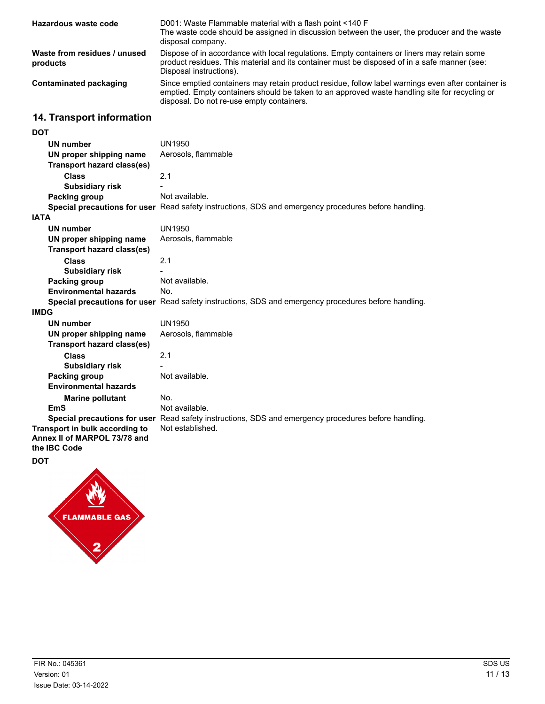| Hazardous waste code                     | D001: Waste Flammable material with a flash point <140 F<br>The waste code should be assigned in discussion between the user, the producer and the waste<br>disposal company.                                                                    |
|------------------------------------------|--------------------------------------------------------------------------------------------------------------------------------------------------------------------------------------------------------------------------------------------------|
| Waste from residues / unused<br>products | Dispose of in accordance with local regulations. Empty containers or liners may retain some<br>product residues. This material and its container must be disposed of in a safe manner (see:<br>Disposal instructions).                           |
| Contaminated packaging                   | Since emptied containers may retain product residue, follow label warnings even after container is<br>emptied. Empty containers should be taken to an approved waste handling site for recycling or<br>disposal. Do not re-use empty containers. |

### **14. Transport information**

| <b>DOT</b>                        |                                                                                                      |
|-----------------------------------|------------------------------------------------------------------------------------------------------|
| UN number                         | UN1950                                                                                               |
| UN proper shipping name           | Aerosols, flammable                                                                                  |
| <b>Transport hazard class(es)</b> |                                                                                                      |
| <b>Class</b>                      | 2.1                                                                                                  |
| <b>Subsidiary risk</b>            |                                                                                                      |
| Packing group                     | Not available.                                                                                       |
|                                   | Special precautions for user Read safety instructions, SDS and emergency procedures before handling. |
| <b>IATA</b>                       |                                                                                                      |
| <b>UN number</b>                  | <b>UN1950</b>                                                                                        |
| UN proper shipping name           | Aerosols, flammable                                                                                  |
| Transport hazard class(es)        |                                                                                                      |
| <b>Class</b>                      | 2.1                                                                                                  |
| <b>Subsidiary risk</b>            |                                                                                                      |
| <b>Packing group</b>              | Not available.                                                                                       |
| <b>Environmental hazards</b>      | No.                                                                                                  |
|                                   | Special precautions for user Read safety instructions, SDS and emergency procedures before handling. |
| <b>IMDG</b>                       |                                                                                                      |
| <b>UN number</b>                  | UN1950                                                                                               |
| UN proper shipping name           | Aerosols, flammable                                                                                  |
| <b>Transport hazard class(es)</b> |                                                                                                      |
| <b>Class</b>                      | 2.1                                                                                                  |
| <b>Subsidiary risk</b>            |                                                                                                      |
| <b>Packing group</b>              | Not available.                                                                                       |
| <b>Environmental hazards</b>      |                                                                                                      |
| <b>Marine pollutant</b>           | No.                                                                                                  |
| EmS                               | Not available.                                                                                       |
|                                   | Special precautions for user Read safety instructions, SDS and emergency procedures before handling. |
| Transport in bulk according to    | Not established.                                                                                     |
| Annex II of MARPOL 73/78 and      |                                                                                                      |
| the IBC Code                      |                                                                                                      |



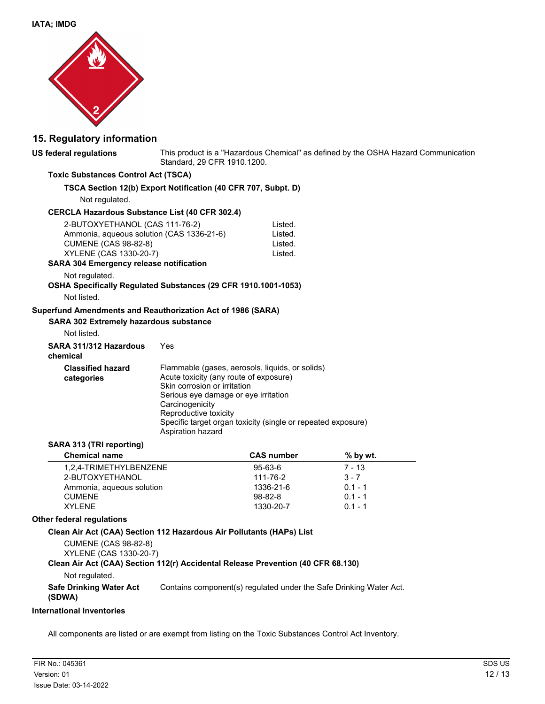

### **15. Regulatory information**

| <b>US federal regulations</b>                                                                                                                                                          | This product is a "Hazardous Chemical" as defined by the OSHA Hazard Communication<br>Standard, 29 CFR 1910.1200.                                                                                                                                                                                  |                                          |           |  |
|----------------------------------------------------------------------------------------------------------------------------------------------------------------------------------------|----------------------------------------------------------------------------------------------------------------------------------------------------------------------------------------------------------------------------------------------------------------------------------------------------|------------------------------------------|-----------|--|
| <b>Toxic Substances Control Act (TSCA)</b>                                                                                                                                             |                                                                                                                                                                                                                                                                                                    |                                          |           |  |
| TSCA Section 12(b) Export Notification (40 CFR 707, Subpt. D)                                                                                                                          |                                                                                                                                                                                                                                                                                                    |                                          |           |  |
| Not regulated.                                                                                                                                                                         |                                                                                                                                                                                                                                                                                                    |                                          |           |  |
| <b>CERCLA Hazardous Substance List (40 CFR 302.4)</b>                                                                                                                                  |                                                                                                                                                                                                                                                                                                    |                                          |           |  |
| 2-BUTOXYETHANOL (CAS 111-76-2)<br>Ammonia, aqueous solution (CAS 1336-21-6)<br><b>CUMENE (CAS 98-82-8)</b><br>XYLENE (CAS 1330-20-7)<br><b>SARA 304 Emergency release notification</b> |                                                                                                                                                                                                                                                                                                    | Listed.<br>Listed.<br>Listed.<br>Listed. |           |  |
| Not regulated.                                                                                                                                                                         |                                                                                                                                                                                                                                                                                                    |                                          |           |  |
| OSHA Specifically Regulated Substances (29 CFR 1910.1001-1053)                                                                                                                         |                                                                                                                                                                                                                                                                                                    |                                          |           |  |
| Not listed.                                                                                                                                                                            |                                                                                                                                                                                                                                                                                                    |                                          |           |  |
| Superfund Amendments and Reauthorization Act of 1986 (SARA)<br><b>SARA 302 Extremely hazardous substance</b><br>Not listed.                                                            |                                                                                                                                                                                                                                                                                                    |                                          |           |  |
| SARA 311/312 Hazardous<br>chemical                                                                                                                                                     | Yes                                                                                                                                                                                                                                                                                                |                                          |           |  |
| <b>Classified hazard</b><br>categories                                                                                                                                                 | Flammable (gases, aerosols, liquids, or solids)<br>Acute toxicity (any route of exposure)<br>Skin corrosion or irritation<br>Serious eye damage or eye irritation<br>Carcinogenicity<br>Reproductive toxicity<br>Specific target organ toxicity (single or repeated exposure)<br>Aspiration hazard |                                          |           |  |
| SARA 313 (TRI reporting)                                                                                                                                                               |                                                                                                                                                                                                                                                                                                    |                                          |           |  |
| <b>Chemical name</b>                                                                                                                                                                   |                                                                                                                                                                                                                                                                                                    | <b>CAS number</b>                        | % by wt.  |  |
| 1,2,4-TRIMETHYLBENZENE                                                                                                                                                                 |                                                                                                                                                                                                                                                                                                    | 95-63-6                                  | $7 - 13$  |  |
| 2-BUTOXYETHANOL                                                                                                                                                                        |                                                                                                                                                                                                                                                                                                    | 111-76-2                                 | $3 - 7$   |  |
| Ammonia, aqueous solution                                                                                                                                                              |                                                                                                                                                                                                                                                                                                    | 1336-21-6                                | $0.1 - 1$ |  |
| <b>CUMENE</b>                                                                                                                                                                          |                                                                                                                                                                                                                                                                                                    | $98 - 82 - 8$                            | $0.1 - 1$ |  |
| <b>XYLENE</b>                                                                                                                                                                          |                                                                                                                                                                                                                                                                                                    | 1330-20-7                                | $0.1 - 1$ |  |

#### **Other federal regulations**

#### **Clean Air Act (CAA) Section 112 Hazardous Air Pollutants (HAPs) List**

CUMENE (CAS 98-82-8) XYLENE (CAS 1330-20-7)

#### **Clean Air Act (CAA) Section 112(r) Accidental Release Prevention (40 CFR 68.130)**

Not regulated.

**Safe Drinking Water Act** Contains component(s) regulated under the Safe Drinking Water Act.

**(SDWA)**

#### **International Inventories**

All components are listed or are exempt from listing on the Toxic Substances Control Act Inventory.